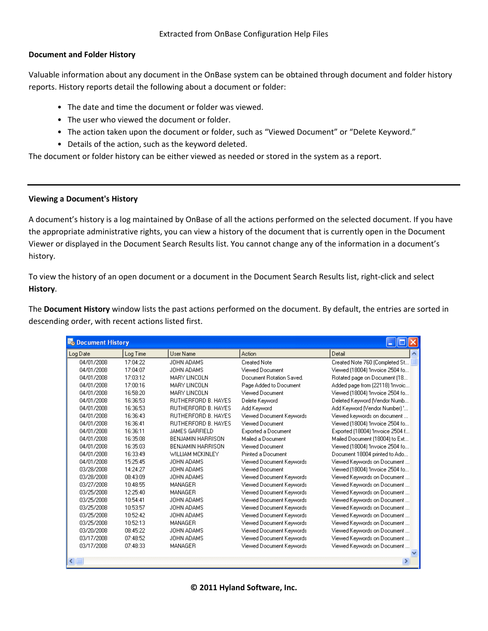## **Document and Folder History**

Valuable information about any document in the OnBase system can be obtained through document and folder history reports. History reports detail the following about a document or folder:

- The date and time the document or folder was viewed.
- The user who viewed the document or folder.
- The action taken upon the document or folder, such as "Viewed Document" or "Delete Keyword."
- Details of the action, such as the keyword deleted.

The document or folder history can be either viewed as needed or stored in the system as a report.

## **Viewing a Document's History**

A document's history is a log maintained by OnBase of all the actions performed on the selected document. If you have the appropriate administrative rights, you can view a history of the document that is currently open in the Document Viewer or displayed in the Document Search Results list. You cannot change any of the information in a document's history.

To view the history of an open document or a document in the Document Search Results list, right-click and select **History**.

The **Document History** window lists the past actions performed on the document. By default, the entries are sorted in descending order, with recent actions listed first.

| <b>Bo</b> Document History |          |                            |                          |                                  |  |
|----------------------------|----------|----------------------------|--------------------------|----------------------------------|--|
| Log Date                   | Log Time | <b>User Name</b>           | Action                   | Detail                           |  |
| 04/01/2008                 | 17:04:22 | JOHN ADAMS                 | <b>Created Note</b>      | Created Note 760 (Completed St   |  |
| 04/01/2008                 | 17:04:07 | JOHN ADAMS                 | Viewed Document          | Viewed (18004) 'Invoice 2504 fo  |  |
| 04/01/2008                 | 17:03:12 | MARY LINCOLN               | Document Rotation Saved. | Rotated page on Document (18     |  |
| 04/01/2008                 | 17:00:16 | MARY LINCOLN               | Page Added to Document   | Added page from (22118) 'Invoic  |  |
| 04/01/2008                 | 16:58:20 | MARY LINCOLN               | Viewed Document          | Viewed (18004) 'Invoice 2504 fo  |  |
| 04/01/2008                 | 16:36:53 | <b>RUTHERFORD B. HAYES</b> | Delete Keyword           | Deleted Keyword (Vendor Numb     |  |
| 04/01/2008                 | 16:36:53 | RUTHERFORD B. HAYES        | Add Keyword              | Add Keyword (Vendor Number) '    |  |
| 04/01/2008                 | 16:36:43 | <b>RUTHERFORD B. HAYES</b> | Viewed Document Keywords | Viewed keywords on document      |  |
| 04/01/2008                 | 16:36:41 | <b>RUTHERFORD B. HAYES</b> | Viewed Document          | Viewed (18004) 'Invoice 2504 fo  |  |
| 04/01/2008                 | 16:36:11 | <b>JAMES GARFIELD</b>      | Exported a Document      | Exported (18004) 'Invoice 2504 f |  |
| 04/01/2008                 | 16:35:08 | <b>BENJAMIN HARRISON</b>   | Mailed a Document        | Mailed Document (18004) to Ext   |  |
| 04/01/2008                 | 16:35:03 | BENJAMIN HARRISON          | Viewed Document          | Viewed (18004) 'Invoice 2504 fo  |  |
| 04/01/2008                 | 16:33:49 | <b>WILLIAM MCKINLEY</b>    | Printed a Document       | Document 18004 printed to Ado    |  |
| 04/01/2008                 | 15:25:45 | JOHN ADAMS                 | Viewed Document Keywords | Viewed Keywords on Document      |  |
| 03/28/2008                 | 14:24:27 | JOHN ADAMS                 | Viewed Document          | Viewed (18004) 'Invoice 2504 fo  |  |
| 03/28/2008                 | 08:43:09 | JOHN ADAMS                 | Viewed Document Keywords | Viewed Keywords on Document      |  |
| 03/27/2008                 | 10:48:55 | MANAGER                    | Viewed Document Keywords | Viewed Keywords on Document      |  |
| 03/25/2008                 | 12:25:40 | <b>MANAGER</b>             | Viewed Document Keywords | Viewed Keywords on Document      |  |
| 03/25/2008                 | 10:54:41 | JOHN ADAMS                 | Viewed Document Keywords | Viewed Keywords on Document      |  |
| 03/25/2008                 | 10:53:57 | JOHN ADAMS                 | Viewed Document Keywords | Viewed Keywords on Document      |  |
| 03/25/2008                 | 10:52:42 | JOHN ADAMS                 | Viewed Document Keywords | Viewed Keywords on Document      |  |
| 03/25/2008                 | 10:52:13 | MANAGER                    | Viewed Document Keywords | Viewed Keywords on Document      |  |
| 03/20/2008                 | 08:45:22 | JOHN ADAMS                 | Viewed Document Keywords | Viewed Keywords on Document      |  |
| 03/17/2008                 | 07:48:52 | JOHN ADAMS                 | Viewed Document Keywords | Viewed Keywords on Document      |  |
| 03/17/2008                 | 07:48:33 | MANAGER                    | Viewed Document Keywords | Viewed Keywords on Document      |  |
|                            |          |                            |                          |                                  |  |
| $\leq$                     |          |                            |                          | ≯                                |  |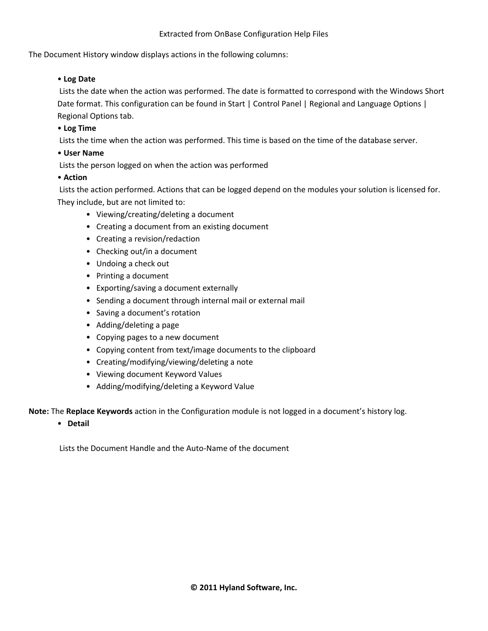## Extracted from OnBase Configuration Help Files

The Document History window displays actions in the following columns:

## • **Log Date**

Lists the date when the action was performed. The date is formatted to correspond with the Windows Short Date format. This configuration can be found in Start | Control Panel | Regional and Language Options | Regional Options tab.

## • **Log Time**

Lists the time when the action was performed. This time is based on the time of the database server.

## • **User Name**

Lists the person logged on when the action was performed

## • **Action**

Lists the action performed. Actions that can be logged depend on the modules your solution is licensed for. They include, but are not limited to:

- Viewing/creating/deleting a document
- Creating a document from an existing document
- Creating a revision/redaction
- Checking out/in a document
- Undoing a check out
- Printing a document
- Exporting/saving a document externally
- Sending a document through internal mail or external mail
- Saving a document's rotation
- Adding/deleting a page
- Copying pages to a new document
- Copying content from text/image documents to the clipboard
- Creating/modifying/viewing/deleting a note
- Viewing document Keyword Values
- Adding/modifying/deleting a Keyword Value

**Note:** The **Replace Keywords** action in the Configuration module is not logged in a document's history log.

• **Detail** 

Lists the Document Handle and the Auto-Name of the document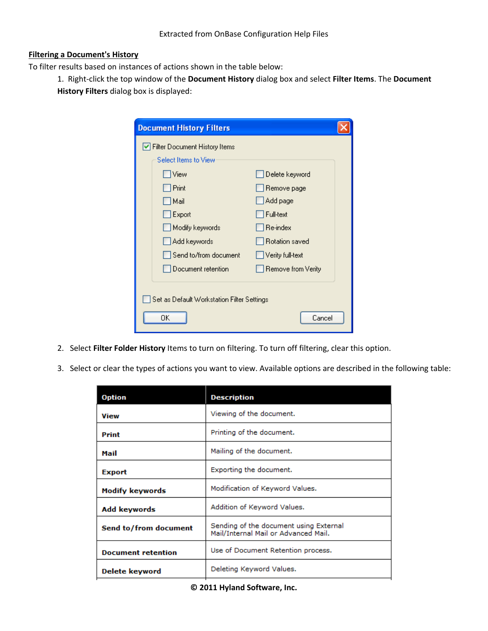#### **Filtering a Document's History**

To filter results based on instances of actions shown in the table below:

1. Right-click the top window of the **Document History** dialog box and select **Filter Items**. The **Document History Filters** dialog box is displayed:

| <b>Document History Filters</b>            |                    |  |  |  |
|--------------------------------------------|--------------------|--|--|--|
| ✔ Filter Document History Items            |                    |  |  |  |
| Select Items to View                       |                    |  |  |  |
| View                                       | Delete keyword     |  |  |  |
| Print                                      | Remove page        |  |  |  |
| Mail                                       | Add page           |  |  |  |
| Export                                     | l Full-text        |  |  |  |
| Modify keywords                            | Re-index           |  |  |  |
| Add keywords                               | Rotation saved     |  |  |  |
| Send to/from document                      | Verity full-text   |  |  |  |
| Document retention                         | Remove from Verity |  |  |  |
|                                            |                    |  |  |  |
| Set as Default Workstation Filter Settings |                    |  |  |  |
| OΚ<br>Cancel                               |                    |  |  |  |

- 2. Select **Filter Folder History** Items to turn on filtering. To turn off filtering, clear this option.
- 3. Select or clear the types of actions you want to view. Available options are described in the following table:

| <b>Description</b>                                                             |
|--------------------------------------------------------------------------------|
| Viewing of the document.                                                       |
| Printing of the document.                                                      |
| Mailing of the document.                                                       |
| Exporting the document.                                                        |
| Modification of Keyword Values.                                                |
| Addition of Keyword Values.                                                    |
| Sending of the document using External<br>Mail/Internal Mail or Advanced Mail. |
| Use of Document Retention process.                                             |
| Deleting Keyword Values.                                                       |
|                                                                                |

## **© 2011 Hyland Software, Inc.**